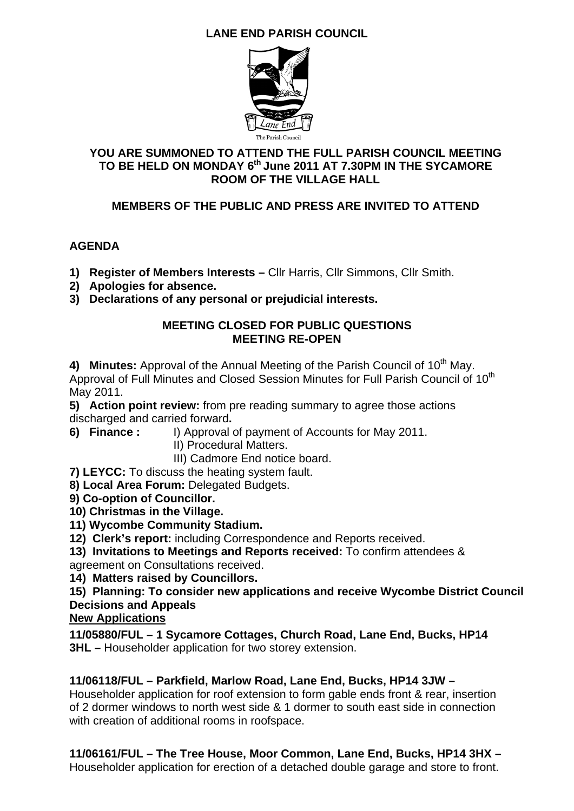# **LANE END PARISH COUNCIL**



### **YOU ARE SUMMONED TO ATTEND THE FULL PARISH COUNCIL MEETING TO BE HELD ON MONDAY 6th June 2011 AT 7.30PM IN THE SYCAMORE ROOM OF THE VILLAGE HALL**

## **MEMBERS OF THE PUBLIC AND PRESS ARE INVITED TO ATTEND**

## **AGENDA**

- **1) Register of Members Interests** Cllr Harris, Cllr Simmons, Cllr Smith.
- **2) Apologies for absence.**
- **3) Declarations of any personal or prejudicial interests.**

#### **MEETING CLOSED FOR PUBLIC QUESTIONS MEETING RE-OPEN**

4) Minutes: Approval of the Annual Meeting of the Parish Council of 10<sup>th</sup> May. Approval of Full Minutes and Closed Session Minutes for Full Parish Council of 10<sup>th</sup> May 2011.

**5) Action point review:** from pre reading summary to agree those actions discharged and carried forward**.** 

- **6) Finance :** I) Approval of payment of Accounts for May 2011.
	- II) Procedural Matters.

III) Cadmore End notice board.

**7) LEYCC:** To discuss the heating system fault.

**8) Local Area Forum:** Delegated Budgets.

- **9) Co-option of Councillor.**
- **10) Christmas in the Village.**
- **11) Wycombe Community Stadium.**
- **12) Clerk's report:** including Correspondence and Reports received.

**13) Invitations to Meetings and Reports received:** To confirm attendees & agreement on Consultations received.

**14) Matters raised by Councillors.** 

**15) Planning: To consider new applications and receive Wycombe District Council Decisions and Appeals** 

### **New Applications**

**11/05880/FUL – 1 Sycamore Cottages, Church Road, Lane End, Bucks, HP14 3HL** – Householder application for two storey extension.

### **11/06118/FUL – Parkfield, Marlow Road, Lane End, Bucks, HP14 3JW –**

Householder application for roof extension to form gable ends front & rear, insertion of 2 dormer windows to north west side & 1 dormer to south east side in connection with creation of additional rooms in roofspace.

**11/06161/FUL – The Tree House, Moor Common, Lane End, Bucks, HP14 3HX –**  Householder application for erection of a detached double garage and store to front.